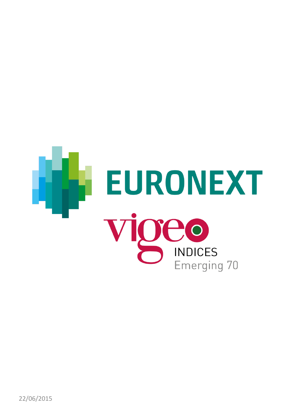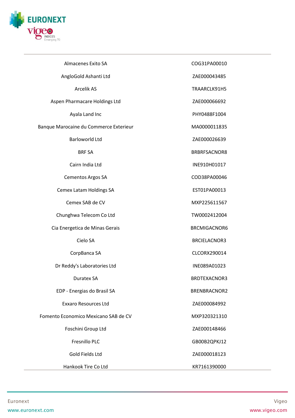

| Almacenes Exito SA                     | COG31PA00010        |
|----------------------------------------|---------------------|
| AngloGold Ashanti Ltd                  | ZAE000043485        |
| Arcelik AS                             | TRAARCLK91H5        |
| Aspen Pharmacare Holdings Ltd          | ZAE000066692        |
| Ayala Land Inc                         | PHY0488F1004        |
| Banque Marocaine du Commerce Exterieur | MA0000011835        |
| <b>Barloworld Ltd</b>                  | ZAE000026639        |
| <b>BRF SA</b>                          | BRBRFSACNOR8        |
| Cairn India Ltd                        | INE910H01017        |
| <b>Cementos Argos SA</b>               | COD38PA00046        |
| <b>Cemex Latam Holdings SA</b>         | EST01PA00013        |
| Cemex SAB de CV                        | MXP225611567        |
| Chunghwa Telecom Co Ltd                | TW0002412004        |
| Cia Energetica de Minas Gerais         | BRCMIGACNOR6        |
| Cielo SA                               | <b>BRCIELACNOR3</b> |
| CorpBanca SA                           | CLCORX290014        |
| Dr Reddy's Laboratories Ltd            | INE089A01023        |
| Duratex SA                             | BRDTEXACNOR3        |
| EDP - Energias do Brasil SA            | BRENBRACNOR2        |
| <b>Exxaro Resources Ltd</b>            | ZAE000084992        |
| Fomento Economico Mexicano SAB de CV   | MXP320321310        |
| Foschini Group Ltd                     | ZAE000148466        |
| Fresnillo PLC                          | GB00B2QPKJ12        |
| Gold Fields Ltd                        | ZAE000018123        |
| Hankook Tire Co Ltd                    | KR7161390000        |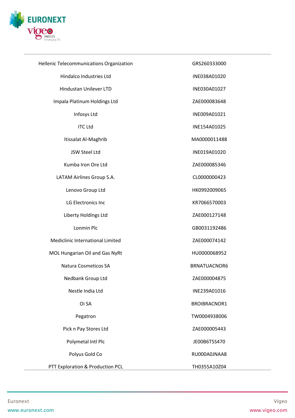

| Hellenic Telecommunications Organization | GRS260333000 |
|------------------------------------------|--------------|
| Hindalco Industries Ltd                  | INE038A01020 |
| <b>Hindustan Unilever LTD</b>            | INE030A01027 |
| Impala Platinum Holdings Ltd             | ZAE000083648 |
| Infosys Ltd                              | INE009A01021 |
| <b>ITC Ltd</b>                           | INE154A01025 |
| Itissalat Al-Maghrib                     | MA0000011488 |
| <b>JSW Steel Ltd</b>                     | INE019A01020 |
| Kumba Iron Ore Ltd                       | ZAE000085346 |
| LATAM Airlines Group S.A.                | CL0000000423 |
| Lenovo Group Ltd                         | HK0992009065 |
| LG Electronics Inc                       | KR7066570003 |
| Liberty Holdings Ltd                     | ZAE000127148 |
| Lonmin Plc                               | GB0031192486 |
| Mediclinic International Limited         | ZAE000074142 |
| MOL Hungarian Oil and Gas NyRt           | HU0000068952 |
| Natura Cosmeticos SA                     | BRNATUACNOR6 |
| Nedbank Group Ltd                        | ZAE000004875 |
| Nestle India Ltd                         | INE239A01016 |
| Oi SA                                    | BROIBRACNOR1 |
| Pegatron                                 | TW0004938006 |
| Pick n Pay Stores Ltd                    | ZAE000005443 |
| Polymetal Intl Plc                       | JE00B6T5S470 |
| Polyus Gold Co                           | RU000A0JNAA8 |
| PTT Exploration & Production PCL         | TH0355A10Z04 |